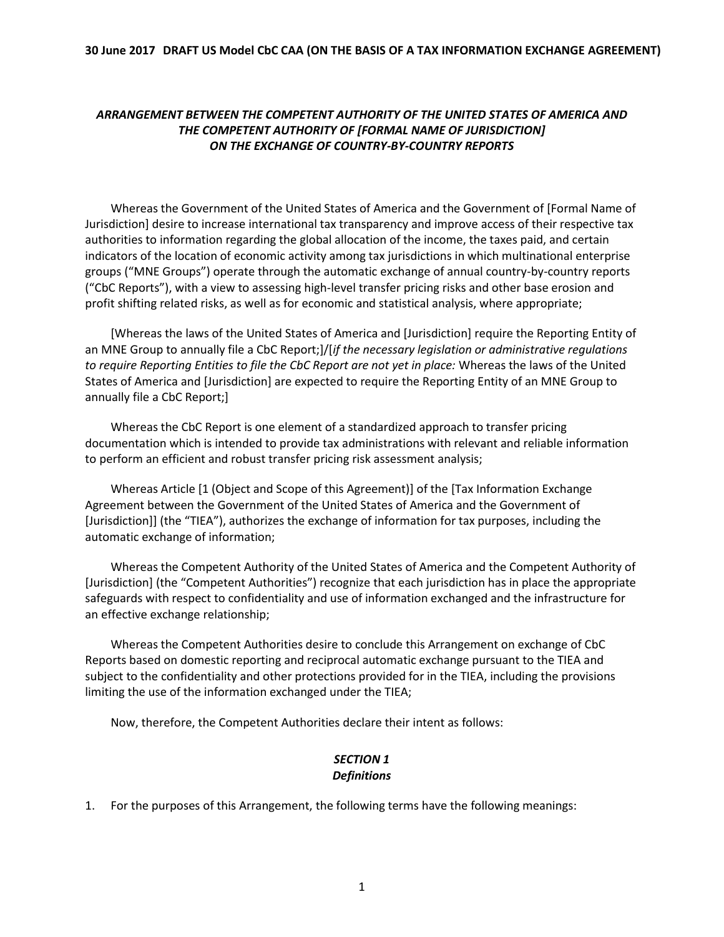#### **30 June 2017 DRAFT US Model CbC CAA (ON THE BASIS OF A TAX INFORMATION EXCHANGE AGREEMENT)**

### *ARRANGEMENT BETWEEN THE COMPETENT AUTHORITY OF THE UNITED STATES OF AMERICA AND THE COMPETENT AUTHORITY OF [FORMAL NAME OF JURISDICTION] ON THE EXCHANGE OF COUNTRY-BY-COUNTRY REPORTS*

Whereas the Government of the United States of America and the Government of [Formal Name of Jurisdiction] desire to increase international tax transparency and improve access of their respective tax authorities to information regarding the global allocation of the income, the taxes paid, and certain indicators of the location of economic activity among tax jurisdictions in which multinational enterprise groups ("MNE Groups") operate through the automatic exchange of annual country-by-country reports ("CbC Reports"), with a view to assessing high-level transfer pricing risks and other base erosion and profit shifting related risks, as well as for economic and statistical analysis, where appropriate;

[Whereas the laws of the United States of America and [Jurisdiction] require the Reporting Entity of an MNE Group to annually file a CbC Report;]/[*if the necessary legislation or administrative regulations to require Reporting Entities to file the CbC Report are not yet in place:* Whereas the laws of the United States of America and [Jurisdiction] are expected to require the Reporting Entity of an MNE Group to annually file a CbC Report;]

Whereas the CbC Report is one element of a standardized approach to transfer pricing documentation which is intended to provide tax administrations with relevant and reliable information to perform an efficient and robust transfer pricing risk assessment analysis;

Whereas Article [1 (Object and Scope of this Agreement)] of the [Tax Information Exchange Agreement between the Government of the United States of America and the Government of [Jurisdiction]] (the "TIEA"), authorizes the exchange of information for tax purposes, including the automatic exchange of information;

Whereas the Competent Authority of the United States of America and the Competent Authority of [Jurisdiction] (the "Competent Authorities") recognize that each jurisdiction has in place the appropriate safeguards with respect to confidentiality and use of information exchanged and the infrastructure for an effective exchange relationship;

Whereas the Competent Authorities desire to conclude this Arrangement on exchange of CbC Reports based on domestic reporting and reciprocal automatic exchange pursuant to the TIEA and subject to the confidentiality and other protections provided for in the TIEA, including the provisions limiting the use of the information exchanged under the TIEA;

Now, therefore, the Competent Authorities declare their intent as follows:

## *SECTION 1 Definitions*

1. For the purposes of this Arrangement, the following terms have the following meanings: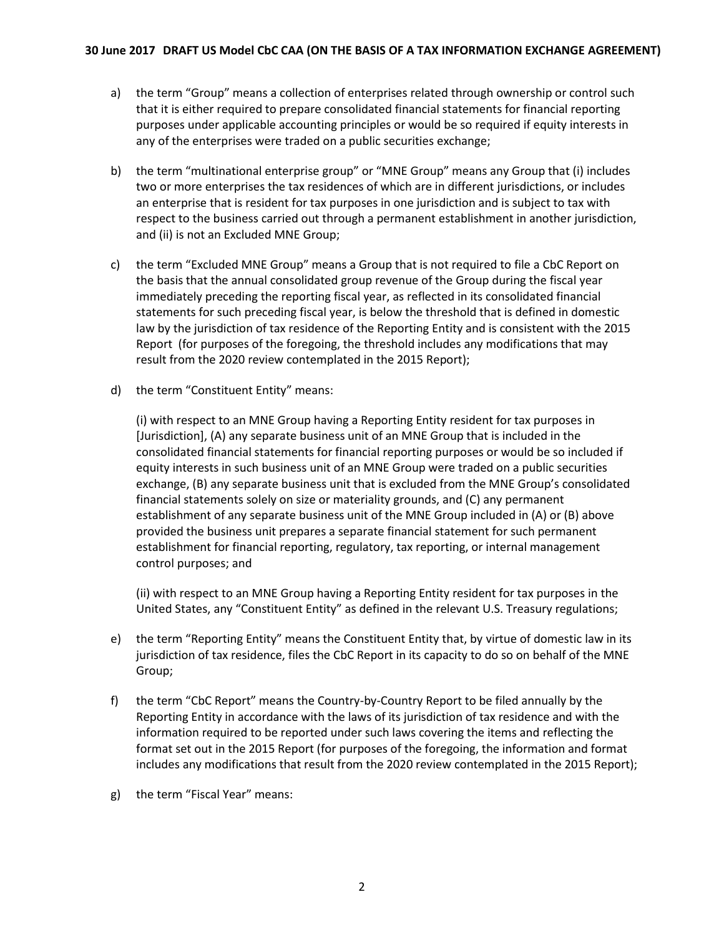- a) the term "Group" means a collection of enterprises related through ownership or control such that it is either required to prepare consolidated financial statements for financial reporting purposes under applicable accounting principles or would be so required if equity interests in any of the enterprises were traded on a public securities exchange;
- b) the term "multinational enterprise group" or "MNE Group" means any Group that (i) includes two or more enterprises the tax residences of which are in different jurisdictions, or includes an enterprise that is resident for tax purposes in one jurisdiction and is subject to tax with respect to the business carried out through a permanent establishment in another jurisdiction, and (ii) is not an Excluded MNE Group;
- c) the term "Excluded MNE Group" means a Group that is not required to file a CbC Report on the basis that the annual consolidated group revenue of the Group during the fiscal year immediately preceding the reporting fiscal year, as reflected in its consolidated financial statements for such preceding fiscal year, is below the threshold that is defined in domestic law by the jurisdiction of tax residence of the Reporting Entity and is consistent with the 2015 Report (for purposes of the foregoing, the threshold includes any modifications that may result from the 2020 review contemplated in the 2015 Report);
- d) the term "Constituent Entity" means:

(i) with respect to an MNE Group having a Reporting Entity resident for tax purposes in [Jurisdiction], (A) any separate business unit of an MNE Group that is included in the consolidated financial statements for financial reporting purposes or would be so included if equity interests in such business unit of an MNE Group were traded on a public securities exchange, (B) any separate business unit that is excluded from the MNE Group's consolidated financial statements solely on size or materiality grounds, and (C) any permanent establishment of any separate business unit of the MNE Group included in (A) or (B) above provided the business unit prepares a separate financial statement for such permanent establishment for financial reporting, regulatory, tax reporting, or internal management control purposes; and

(ii) with respect to an MNE Group having a Reporting Entity resident for tax purposes in the United States, any "Constituent Entity" as defined in the relevant U.S. Treasury regulations;

- e) the term "Reporting Entity" means the Constituent Entity that, by virtue of domestic law in its jurisdiction of tax residence, files the CbC Report in its capacity to do so on behalf of the MNE Group;
- f) the term "CbC Report" means the Country-by-Country Report to be filed annually by the Reporting Entity in accordance with the laws of its jurisdiction of tax residence and with the information required to be reported under such laws covering the items and reflecting the format set out in the 2015 Report (for purposes of the foregoing, the information and format includes any modifications that result from the 2020 review contemplated in the 2015 Report);
- g) the term "Fiscal Year" means: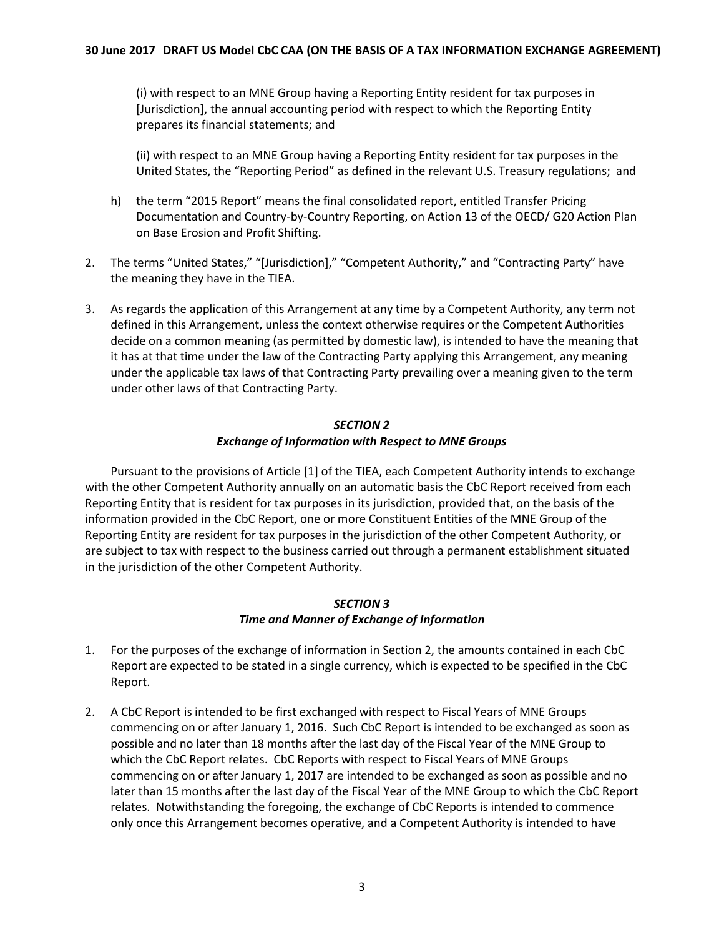(i) with respect to an MNE Group having a Reporting Entity resident for tax purposes in [Jurisdiction], the annual accounting period with respect to which the Reporting Entity prepares its financial statements; and

(ii) with respect to an MNE Group having a Reporting Entity resident for tax purposes in the United States, the "Reporting Period" as defined in the relevant U.S. Treasury regulations; and

- h) the term "2015 Report" means the final consolidated report, entitled Transfer Pricing Documentation and Country-by-Country Reporting, on Action 13 of the OECD/ G20 Action Plan on Base Erosion and Profit Shifting.
- 2. The terms "United States," "[Jurisdiction]," "Competent Authority," and "Contracting Party" have the meaning they have in the TIEA.
- 3. As regards the application of this Arrangement at any time by a Competent Authority, any term not defined in this Arrangement, unless the context otherwise requires or the Competent Authorities decide on a common meaning (as permitted by domestic law), is intended to have the meaning that it has at that time under the law of the Contracting Party applying this Arrangement, any meaning under the applicable tax laws of that Contracting Party prevailing over a meaning given to the term under other laws of that Contracting Party.

#### *SECTION 2 Exchange of Information with Respect to MNE Groups*

Pursuant to the provisions of Article [1] of the TIEA, each Competent Authority intends to exchange with the other Competent Authority annually on an automatic basis the CbC Report received from each Reporting Entity that is resident for tax purposes in its jurisdiction, provided that, on the basis of the information provided in the CbC Report, one or more Constituent Entities of the MNE Group of the Reporting Entity are resident for tax purposes in the jurisdiction of the other Competent Authority, or are subject to tax with respect to the business carried out through a permanent establishment situated in the jurisdiction of the other Competent Authority.

### *SECTION 3 Time and Manner of Exchange of Information*

- 1. For the purposes of the exchange of information in Section 2, the amounts contained in each CbC Report are expected to be stated in a single currency, which is expected to be specified in the CbC Report.
- 2. A CbC Report is intended to be first exchanged with respect to Fiscal Years of MNE Groups commencing on or after January 1, 2016. Such CbC Report is intended to be exchanged as soon as possible and no later than 18 months after the last day of the Fiscal Year of the MNE Group to which the CbC Report relates. CbC Reports with respect to Fiscal Years of MNE Groups commencing on or after January 1, 2017 are intended to be exchanged as soon as possible and no later than 15 months after the last day of the Fiscal Year of the MNE Group to which the CbC Report relates. Notwithstanding the foregoing, the exchange of CbC Reports is intended to commence only once this Arrangement becomes operative, and a Competent Authority is intended to have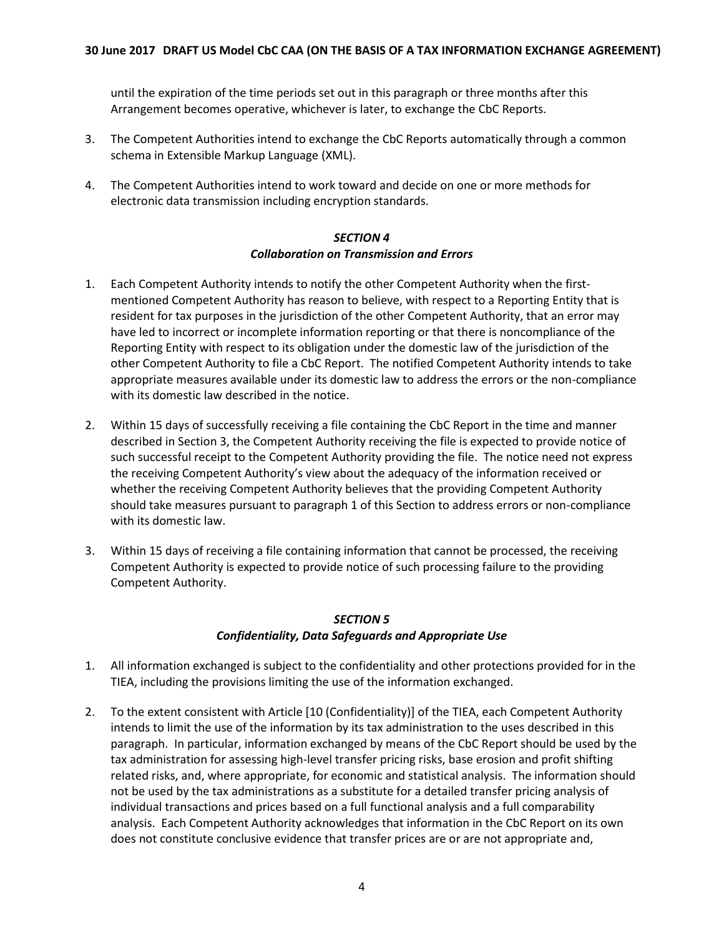until the expiration of the time periods set out in this paragraph or three months after this Arrangement becomes operative, whichever is later, to exchange the CbC Reports.

- 3. The Competent Authorities intend to exchange the CbC Reports automatically through a common schema in Extensible Markup Language (XML).
- 4. The Competent Authorities intend to work toward and decide on one or more methods for electronic data transmission including encryption standards.

#### *SECTION 4 Collaboration on Transmission and Errors*

- 1. Each Competent Authority intends to notify the other Competent Authority when the firstmentioned Competent Authority has reason to believe, with respect to a Reporting Entity that is resident for tax purposes in the jurisdiction of the other Competent Authority, that an error may have led to incorrect or incomplete information reporting or that there is noncompliance of the Reporting Entity with respect to its obligation under the domestic law of the jurisdiction of the other Competent Authority to file a CbC Report. The notified Competent Authority intends to take appropriate measures available under its domestic law to address the errors or the non-compliance with its domestic law described in the notice.
- 2. Within 15 days of successfully receiving a file containing the CbC Report in the time and manner described in Section 3, the Competent Authority receiving the file is expected to provide notice of such successful receipt to the Competent Authority providing the file. The notice need not express the receiving Competent Authority's view about the adequacy of the information received or whether the receiving Competent Authority believes that the providing Competent Authority should take measures pursuant to paragraph 1 of this Section to address errors or non-compliance with its domestic law.
- 3. Within 15 days of receiving a file containing information that cannot be processed, the receiving Competent Authority is expected to provide notice of such processing failure to the providing Competent Authority.

### *SECTION 5 Confidentiality, Data Safeguards and Appropriate Use*

- 1. All information exchanged is subject to the confidentiality and other protections provided for in the TIEA, including the provisions limiting the use of the information exchanged.
- 2. To the extent consistent with Article [10 (Confidentiality)] of the TIEA, each Competent Authority intends to limit the use of the information by its tax administration to the uses described in this paragraph. In particular, information exchanged by means of the CbC Report should be used by the tax administration for assessing high-level transfer pricing risks, base erosion and profit shifting related risks, and, where appropriate, for economic and statistical analysis. The information should not be used by the tax administrations as a substitute for a detailed transfer pricing analysis of individual transactions and prices based on a full functional analysis and a full comparability analysis. Each Competent Authority acknowledges that information in the CbC Report on its own does not constitute conclusive evidence that transfer prices are or are not appropriate and,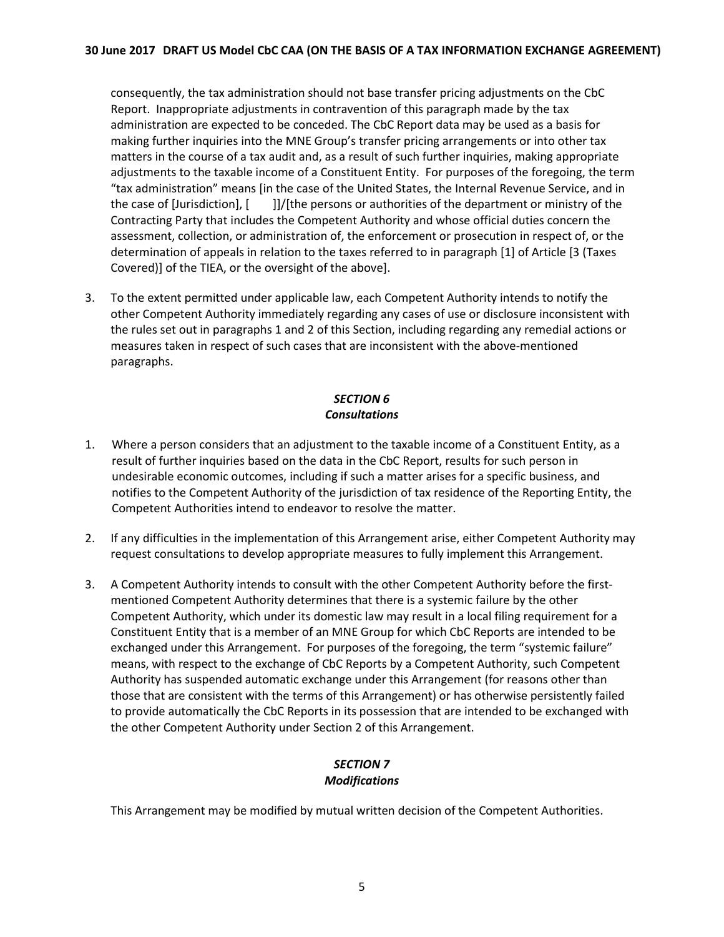consequently, the tax administration should not base transfer pricing adjustments on the CbC Report. Inappropriate adjustments in contravention of this paragraph made by the tax administration are expected to be conceded. The CbC Report data may be used as a basis for making further inquiries into the MNE Group's transfer pricing arrangements or into other tax matters in the course of a tax audit and, as a result of such further inquiries, making appropriate adjustments to the taxable income of a Constituent Entity. For purposes of the foregoing, the term "tax administration" means [in the case of the United States, the Internal Revenue Service, and in the case of [Jurisdiction], [ ]]/[the persons or authorities of the department or ministry of the Contracting Party that includes the Competent Authority and whose official duties concern the assessment, collection, or administration of, the enforcement or prosecution in respect of, or the determination of appeals in relation to the taxes referred to in paragraph [1] of Article [3 (Taxes Covered)] of the TIEA, or the oversight of the above].

3. To the extent permitted under applicable law, each Competent Authority intends to notify the other Competent Authority immediately regarding any cases of use or disclosure inconsistent with the rules set out in paragraphs 1 and 2 of this Section, including regarding any remedial actions or measures taken in respect of such cases that are inconsistent with the above-mentioned paragraphs.

# *SECTION 6 Consultations*

- 1. Where a person considers that an adjustment to the taxable income of a Constituent Entity, as a result of further inquiries based on the data in the CbC Report, results for such person in undesirable economic outcomes, including if such a matter arises for a specific business, and notifies to the Competent Authority of the jurisdiction of tax residence of the Reporting Entity, the Competent Authorities intend to endeavor to resolve the matter.
- 2. If any difficulties in the implementation of this Arrangement arise, either Competent Authority may request consultations to develop appropriate measures to fully implement this Arrangement.
- 3. A Competent Authority intends to consult with the other Competent Authority before the firstmentioned Competent Authority determines that there is a systemic failure by the other Competent Authority, which under its domestic law may result in a local filing requirement for a Constituent Entity that is a member of an MNE Group for which CbC Reports are intended to be exchanged under this Arrangement. For purposes of the foregoing, the term "systemic failure" means, with respect to the exchange of CbC Reports by a Competent Authority, such Competent Authority has suspended automatic exchange under this Arrangement (for reasons other than those that are consistent with the terms of this Arrangement) or has otherwise persistently failed to provide automatically the CbC Reports in its possession that are intended to be exchanged with the other Competent Authority under Section 2 of this Arrangement.

## *SECTION 7 Modifications*

This Arrangement may be modified by mutual written decision of the Competent Authorities.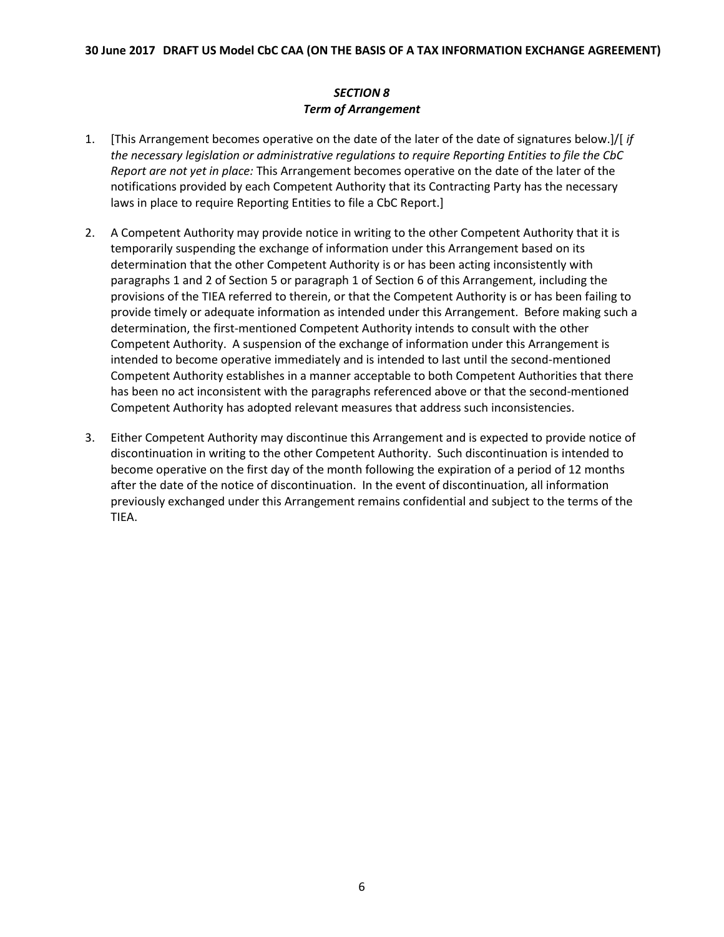# *SECTION 8 Term of Arrangement*

- 1. [This Arrangement becomes operative on the date of the later of the date of signatures below.]/[ *if the necessary legislation or administrative regulations to require Reporting Entities to file the CbC Report are not yet in place:* This Arrangement becomes operative on the date of the later of the notifications provided by each Competent Authority that its Contracting Party has the necessary laws in place to require Reporting Entities to file a CbC Report.]
- 2. A Competent Authority may provide notice in writing to the other Competent Authority that it is temporarily suspending the exchange of information under this Arrangement based on its determination that the other Competent Authority is or has been acting inconsistently with paragraphs 1 and 2 of Section 5 or paragraph 1 of Section 6 of this Arrangement, including the provisions of the TIEA referred to therein, or that the Competent Authority is or has been failing to provide timely or adequate information as intended under this Arrangement. Before making such a determination, the first-mentioned Competent Authority intends to consult with the other Competent Authority. A suspension of the exchange of information under this Arrangement is intended to become operative immediately and is intended to last until the second-mentioned Competent Authority establishes in a manner acceptable to both Competent Authorities that there has been no act inconsistent with the paragraphs referenced above or that the second-mentioned Competent Authority has adopted relevant measures that address such inconsistencies.
- 3. Either Competent Authority may discontinue this Arrangement and is expected to provide notice of discontinuation in writing to the other Competent Authority. Such discontinuation is intended to become operative on the first day of the month following the expiration of a period of 12 months after the date of the notice of discontinuation. In the event of discontinuation, all information previously exchanged under this Arrangement remains confidential and subject to the terms of the TIEA.